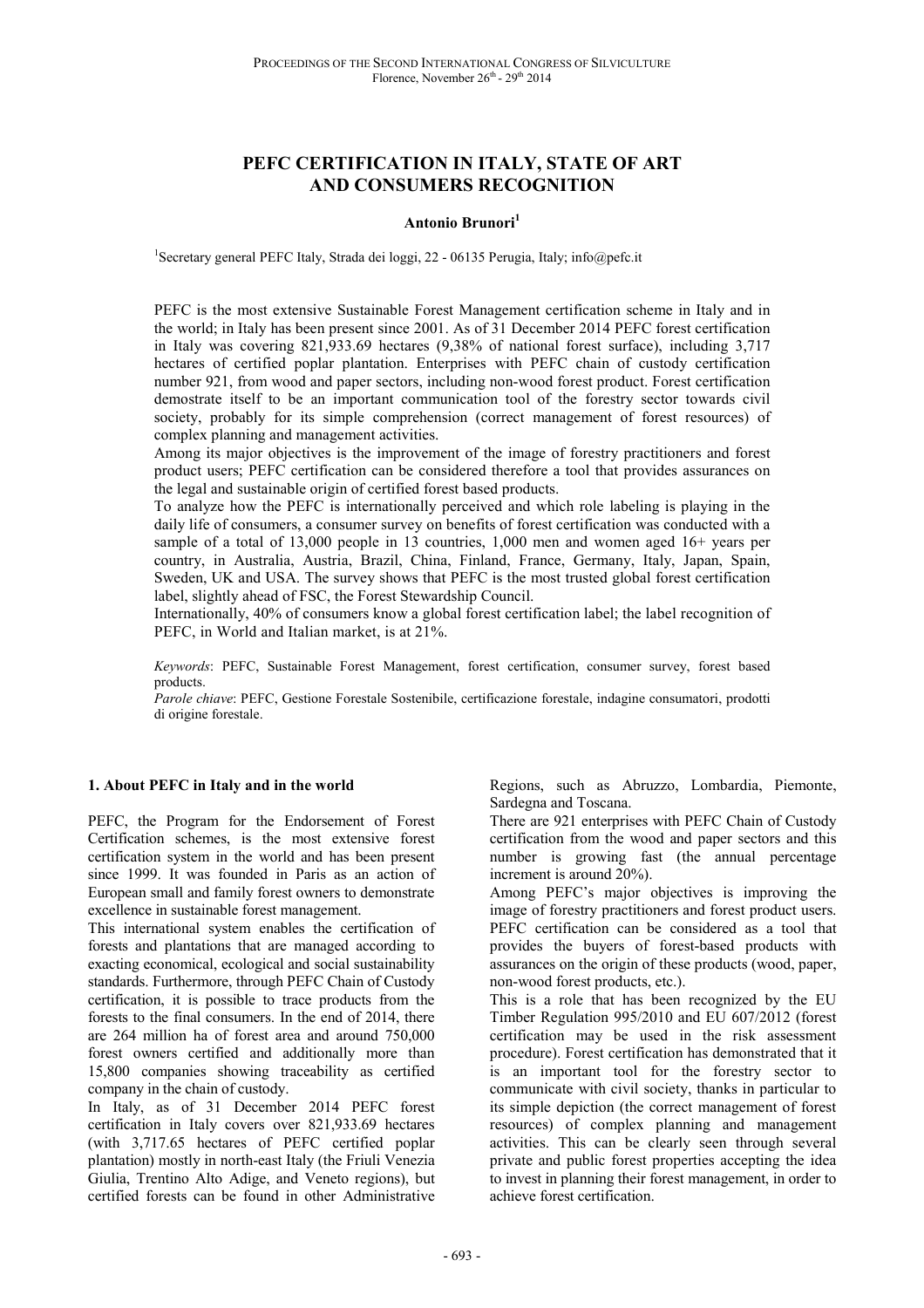# **PEFC CERTIFICATION IN ITALY, STATE OF ART AND CONSUMERS RECOGNITION**

### **Antonio Brunori<sup>1</sup>**

<sup>1</sup>Secretary general PEFC Italy, Strada dei loggi, 22 - 06135 Perugia, Italy; info@pefc.it

PEFC is the most extensive Sustainable Forest Management certification scheme in Italy and in the world; in Italy has been present since 2001. As of 31 December 2014 PEFC forest certification in Italy was covering 821,933.69 hectares (9,38% of national forest surface), including 3,717 hectares of certified poplar plantation. Enterprises with PEFC chain of custody certification number 921, from wood and paper sectors, including non-wood forest product. Forest certification demostrate itself to be an important communication tool of the forestry sector towards civil society, probably for its simple comprehension (correct management of forest resources) of complex planning and management activities.

Among its major objectives is the improvement of the image of forestry practitioners and forest product users; PEFC certification can be considered therefore a tool that provides assurances on the legal and sustainable origin of certified forest based products.

To analyze how the PEFC is internationally perceived and which role labeling is playing in the daily life of consumers, a consumer survey on benefits of forest certification was conducted with a sample of a total of 13,000 people in 13 countries, 1,000 men and women aged 16+ years per country, in Australia, Austria, Brazil, China, Finland, France, Germany, Italy, Japan, Spain, Sweden, UK and USA. The survey shows that PEFC is the most trusted global forest certification label, slightly ahead of FSC, the Forest Stewardship Council.

Internationally, 40% of consumers know a global forest certification label; the label recognition of PEFC, in World and Italian market, is at 21%.

*Keywords*: PEFC, Sustainable Forest Management, forest certification, consumer survey, forest based products.

*Parole chiave*: PEFC, Gestione Forestale Sostenibile, certificazione forestale, indagine consumatori, prodotti di origine forestale.

## **1. About PEFC in Italy and in the world**

PEFC, the Program for the Endorsement of Forest Certification schemes, is the most extensive forest certification system in the world and has been present since 1999. It was founded in Paris as an action of European small and family forest owners to demonstrate excellence in sustainable forest management.

This international system enables the certification of forests and plantations that are managed according to exacting economical, ecological and social sustainability standards. Furthermore, through PEFC Chain of Custody certification, it is possible to trace products from the forests to the final consumers. In the end of 2014, there are 264 million ha of forest area and around 750,000 forest owners certified and additionally more than 15,800 companies showing traceability as certified company in the chain of custody.

In Italy, as of 31 December 2014 PEFC forest certification in Italy covers over 821,933.69 hectares (with 3,717.65 hectares of PEFC certified poplar plantation) mostly in north-east Italy (the Friuli Venezia Giulia, Trentino Alto Adige, and Veneto regions), but certified forests can be found in other Administrative

Regions, such as Abruzzo, Lombardia, Piemonte, Sardegna and Toscana.

There are 921 enterprises with PEFC Chain of Custody certification from the wood and paper sectors and this number is growing fast (the annual percentage increment is around 20%).

Among PEFC's major objectives is improving the image of forestry practitioners and forest product users. PEFC certification can be considered as a tool that provides the buyers of forest-based products with assurances on the origin of these products (wood, paper, non-wood forest products, etc.).

This is a role that has been recognized by the EU Timber Regulation 995/2010 and EU 607/2012 (forest certification may be used in the risk assessment procedure). Forest certification has demonstrated that it is an important tool for the forestry sector to communicate with civil society, thanks in particular to its simple depiction (the correct management of forest resources) of complex planning and management activities. This can be clearly seen through several private and public forest properties accepting the idea to invest in planning their forest management, in order to achieve forest certification.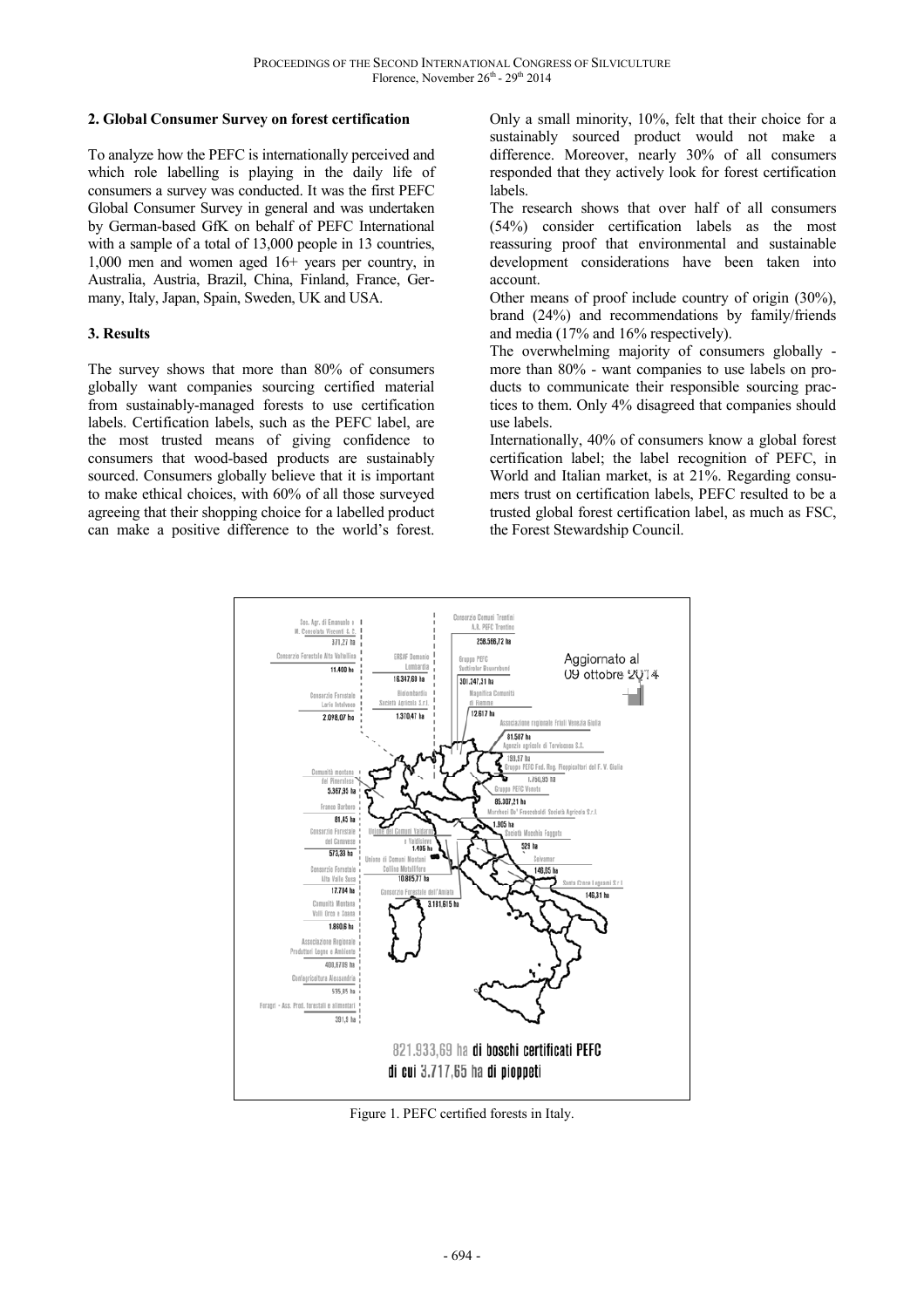## **2. Global Consumer Survey on forest certification**

To analyze how the PEFC is internationally perceived and which role labelling is playing in the daily life of consumers a survey was conducted. It was the first PEFC Global Consumer Survey in general and was undertaken by German-based GfK on behalf of PEFC International with a sample of a total of 13,000 people in 13 countries, 1,000 men and women aged 16+ years per country, in Australia, Austria, Brazil, China, Finland, France, Germany, Italy, Japan, Spain, Sweden, UK and USA.

## **3. Results**

The survey shows that more than 80% of consumers globally want companies sourcing certified material from sustainably-managed forests to use certification labels. Certification labels, such as the PEFC label, are the most trusted means of giving confidence to consumers that wood-based products are sustainably sourced. Consumers globally believe that it is important to make ethical choices, with 60% of all those surveyed agreeing that their shopping choice for a labelled product can make a positive difference to the world's forest.

Only a small minority, 10%, felt that their choice for a sustainably sourced product would not make a difference. Moreover, nearly 30% of all consumers responded that they actively look for forest certification labels.

The research shows that over half of all consumers (54%) consider certification labels as the most reassuring proof that environmental and sustainable development considerations have been taken into account.

Other means of proof include country of origin (30%), brand (24%) and recommendations by family/friends and media (17% and 16% respectively).

The overwhelming majority of consumers globally more than 80% - want companies to use labels on products to communicate their responsible sourcing practices to them. Only 4% disagreed that companies should use labels.

Internationally, 40% of consumers know a global forest certification label; the label recognition of PEFC, in World and Italian market, is at 21%. Regarding consumers trust on certification labels, PEFC resulted to be a trusted global forest certification label, as much as FSC, the Forest Stewardship Council.



Figure 1. PEFC certified forests in Italy.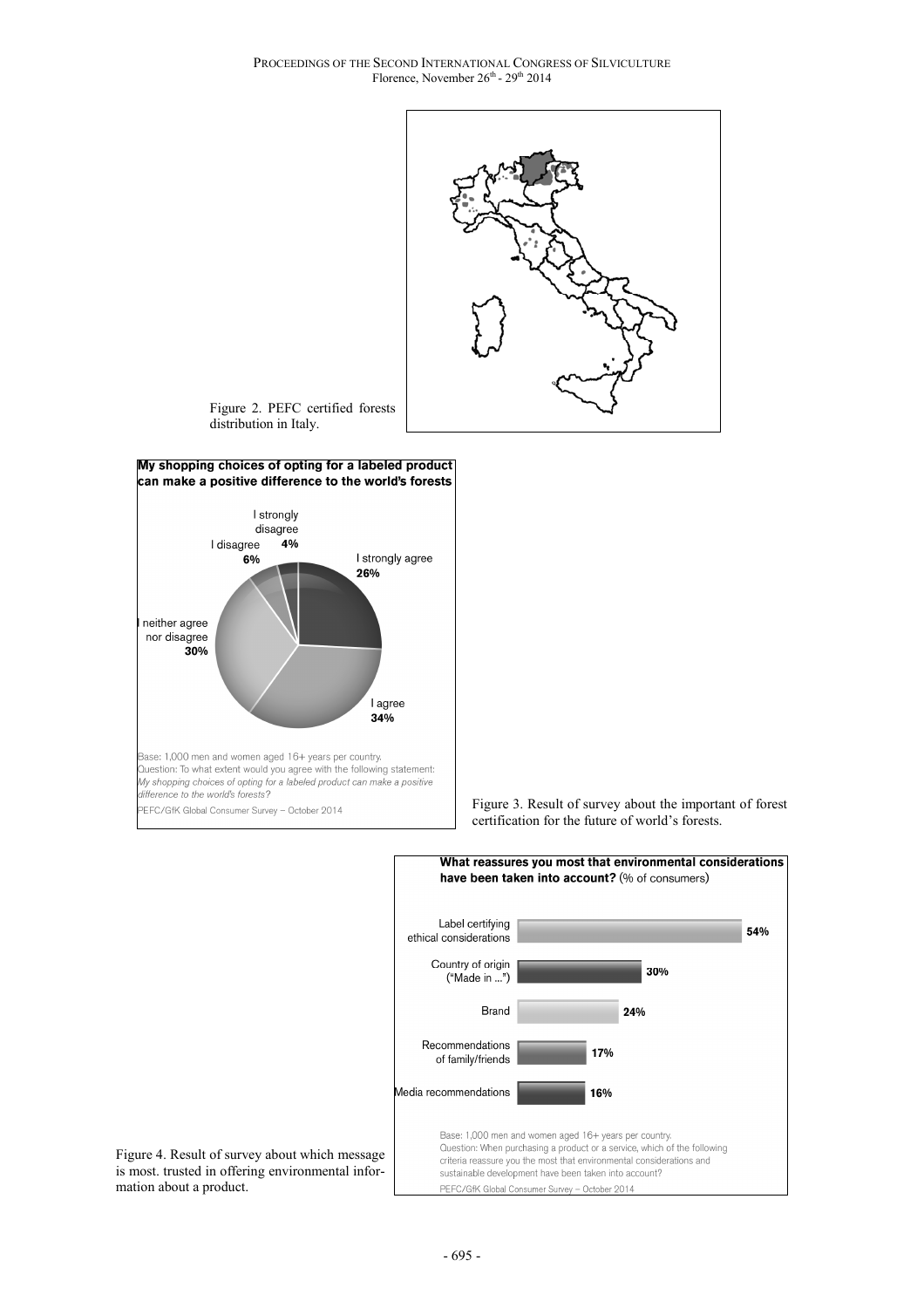PROCEEDINGS OF THE SECOND INTERNATIONAL CONGRESS OF SILVICULTURE Florence, November 26<sup>th</sup> - 29<sup>th</sup> 2014



Figure 2. PEFC certified forests distribution in Italy.



Figure 3. Result of survey about the important of forest certification for the future of world's forests.



Figure 4. Result of survey about which message is most. trusted in offering environmental information about a product.